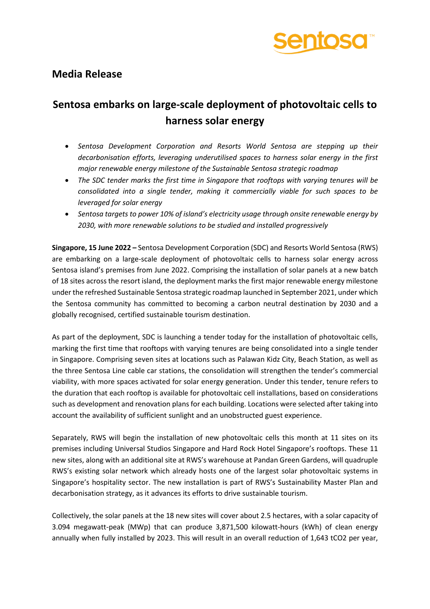

## **Media Release**

# **Sentosa embarks on large-scale deployment of photovoltaic cells to harness solar energy**

- *Sentosa Development Corporation and Resorts World Sentosa are stepping up their decarbonisation efforts, leveraging underutilised spaces to harness solar energy in the first major renewable energy milestone of the Sustainable Sentosa strategic roadmap*
- *The SDC tender marks the first time in Singapore that rooftops with varying tenures will be consolidated into a single tender, making it commercially viable for such spaces to be leveraged for solar energy*
- *Sentosa targets to power 10% of island's electricity usage through onsite renewable energy by 2030, with more renewable solutions to be studied and installed progressively*

**Singapore, 15 June 2022 –** Sentosa Development Corporation (SDC) and Resorts World Sentosa (RWS) are embarking on a large-scale deployment of photovoltaic cells to harness solar energy across Sentosa island's premises from June 2022. Comprising the installation of solar panels at a new batch of 18 sites across the resort island, the deployment marks the first major renewable energy milestone under the refreshed Sustainable Sentosa strategic roadmap launched in September 2021, under which the Sentosa community has committed to becoming a carbon neutral destination by 2030 and a globally recognised, certified sustainable tourism destination.

As part of the deployment, SDC is launching a tender today for the installation of photovoltaic cells, marking the first time that rooftops with varying tenures are being consolidated into a single tender in Singapore. Comprising seven sites at locations such as Palawan Kidz City, Beach Station, as well as the three Sentosa Line cable car stations, the consolidation will strengthen the tender's commercial viability, with more spaces activated for solar energy generation. Under this tender, tenure refers to the duration that each rooftop is available for photovoltaic cell installations, based on considerations such as development and renovation plans for each building. Locations were selected after taking into account the availability of sufficient sunlight and an unobstructed guest experience.

Separately, RWS will begin the installation of new photovoltaic cells this month at 11 sites on its premises including Universal Studios Singapore and Hard Rock Hotel Singapore's rooftops. These 11 new sites, along with an additional site at RWS's warehouse at Pandan Green Gardens, will quadruple RWS's existing solar network which already hosts one of the largest solar photovoltaic systems in Singapore's hospitality sector. The new installation is part of RWS's Sustainability Master Plan and decarbonisation strategy, as it advances its efforts to drive sustainable tourism.

Collectively, the solar panels at the 18 new sites will cover about 2.5 hectares, with a solar capacity of 3.094 megawatt-peak (MWp) that can produce 3,871,500 kilowatt-hours (kWh) of clean energy annually when fully installed by 2023. This will result in an overall reduction of 1,643 tCO2 per year,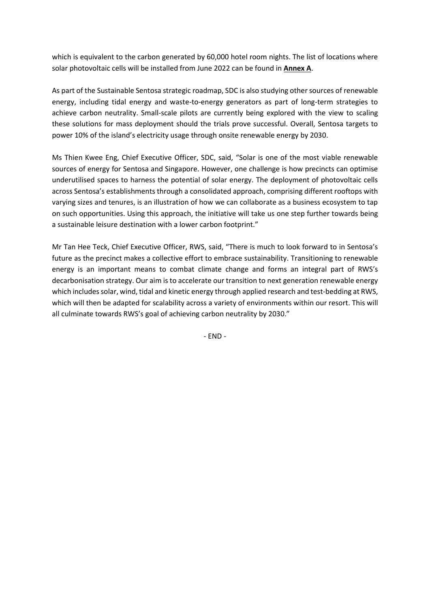which is equivalent to the carbon generated by 60,000 hotel room nights. The list of locations where solar photovoltaic cells will be installed from June 2022 can be found in **Annex A**.

As part of the Sustainable Sentosa strategic roadmap, SDC is also studying other sources of renewable energy, including tidal energy and waste-to-energy generators as part of long-term strategies to achieve carbon neutrality. Small-scale pilots are currently being explored with the view to scaling these solutions for mass deployment should the trials prove successful. Overall, Sentosa targets to power 10% of the island's electricity usage through onsite renewable energy by 2030.

Ms Thien Kwee Eng, Chief Executive Officer, SDC, said, "Solar is one of the most viable renewable sources of energy for Sentosa and Singapore. However, one challenge is how precincts can optimise underutilised spaces to harness the potential of solar energy. The deployment of photovoltaic cells across Sentosa's establishments through a consolidated approach, comprising different rooftops with varying sizes and tenures, is an illustration of how we can collaborate as a business ecosystem to tap on such opportunities. Using this approach, the initiative will take us one step further towards being a sustainable leisure destination with a lower carbon footprint."

Mr Tan Hee Teck, Chief Executive Officer, RWS, said, "There is much to look forward to in Sentosa's future as the precinct makes a collective effort to embrace sustainability. Transitioning to renewable energy is an important means to combat climate change and forms an integral part of RWS's decarbonisation strategy. Our aim is to accelerate our transition to next generation renewable energy which includes solar, wind, tidal and kinetic energy through applied research and test-bedding at RWS, which will then be adapted for scalability across a variety of environments within our resort. This will all culminate towards RWS's goal of achieving carbon neutrality by 2030."

- END -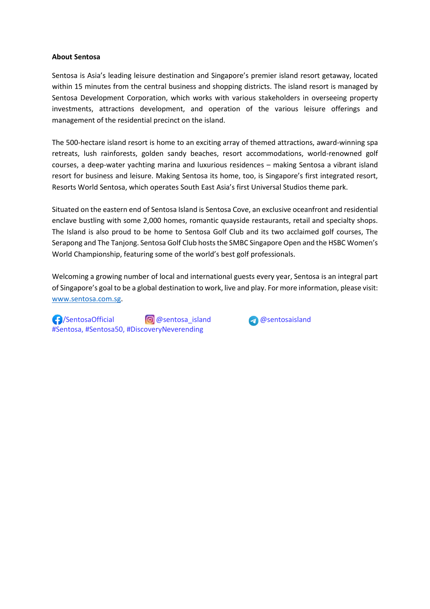#### **About Sentosa**

Sentosa is Asia's leading leisure destination and Singapore's premier island resort getaway, located within 15 minutes from the central business and shopping districts. The island resort is managed by Sentosa Development Corporation, which works with various stakeholders in overseeing property investments, attractions development, and operation of the various leisure offerings and management of the residential precinct on the island.

The 500-hectare island resort is home to an exciting array of themed attractions, award-winning spa retreats, lush rainforests, golden sandy beaches, resort accommodations, world-renowned golf courses, a deep-water yachting marina and luxurious residences – making Sentosa a vibrant island resort for business and leisure. Making Sentosa its home, too, is Singapore's first integrated resort, Resorts World Sentosa, which operates South East Asia's first Universal Studios theme park.

Situated on the eastern end of Sentosa Island is Sentosa Cove, an exclusive oceanfront and residential enclave bustling with some 2,000 homes, romantic quayside restaurants, retail and specialty shops. The Island is also proud to be home to Sentosa Golf Club and its two acclaimed golf courses, The Serapong and The Tanjong. Sentosa Golf Club hosts the SMBC Singapore Open and the HSBC Women's World Championship, featuring some of the world's best golf professionals.

Welcoming a growing number of local and international guests every year, Sentosa is an integral part of Singapore's goal to be a global destination to work, live and play. For more information, please visit: [www.sentosa.com.sg.](http://www.sentosa.com.sg/)

 /SentosaOfficial @sentosa\_island @sentosaisland #Sentosa, #Sentosa50, #DiscoveryNeverending